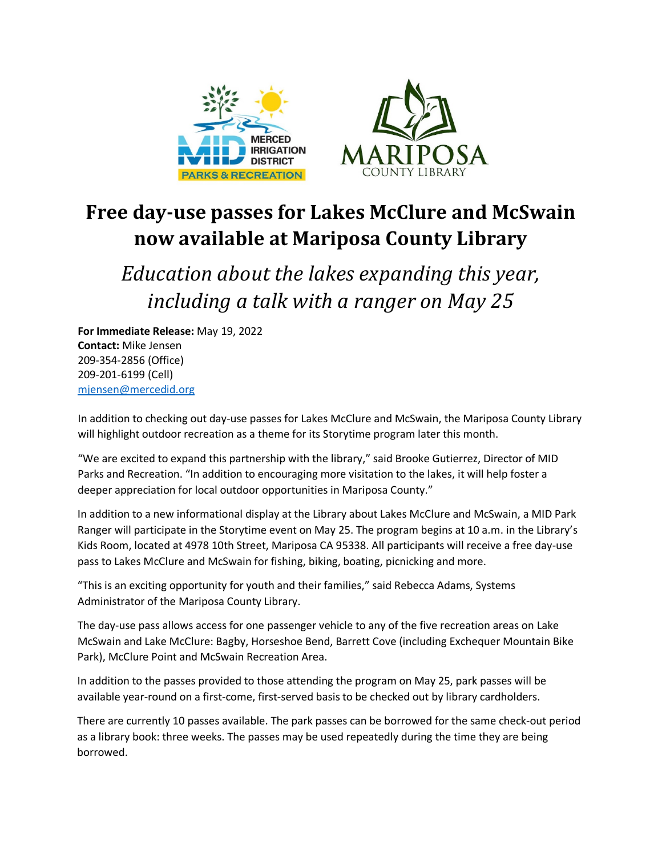

## **Free day-use passes for Lakes McClure and McSwain now available at Mariposa County Library**

*Education about the lakes expanding this year, including a talk with a ranger on May 25*

**For Immediate Release:** May 19, 2022 **Contact:** Mike Jensen 209-354-2856 (Office) 209-201-6199 (Cell) [mjensen@mercedid.org](mailto:mjensen@mercedid.org)

In addition to checking out day-use passes for Lakes McClure and McSwain, the Mariposa County Library will highlight outdoor recreation as a theme for its Storytime program later this month.

"We are excited to expand this partnership with the library," said Brooke Gutierrez, Director of MID Parks and Recreation. "In addition to encouraging more visitation to the lakes, it will help foster a deeper appreciation for local outdoor opportunities in Mariposa County."

In addition to a new informational display at the Library about Lakes McClure and McSwain, a MID Park Ranger will participate in the Storytime event on May 25. The program begins at 10 a.m. in the Library's Kids Room, located at 4978 10th Street, Mariposa CA 95338. All participants will receive a free day-use pass to Lakes McClure and McSwain for fishing, biking, boating, picnicking and more.

"This is an exciting opportunity for youth and their families," said Rebecca Adams, Systems Administrator of the Mariposa County Library.

The day-use pass allows access for one passenger vehicle to any of the five recreation areas on Lake McSwain and Lake McClure: Bagby, Horseshoe Bend, Barrett Cove (including Exchequer Mountain Bike Park), McClure Point and McSwain Recreation Area.

In addition to the passes provided to those attending the program on May 25, park passes will be available year-round on a first-come, first-served basis to be checked out by library cardholders.

There are currently 10 passes available. The park passes can be borrowed for the same check-out period as a library book: three weeks. The passes may be used repeatedly during the time they are being borrowed.